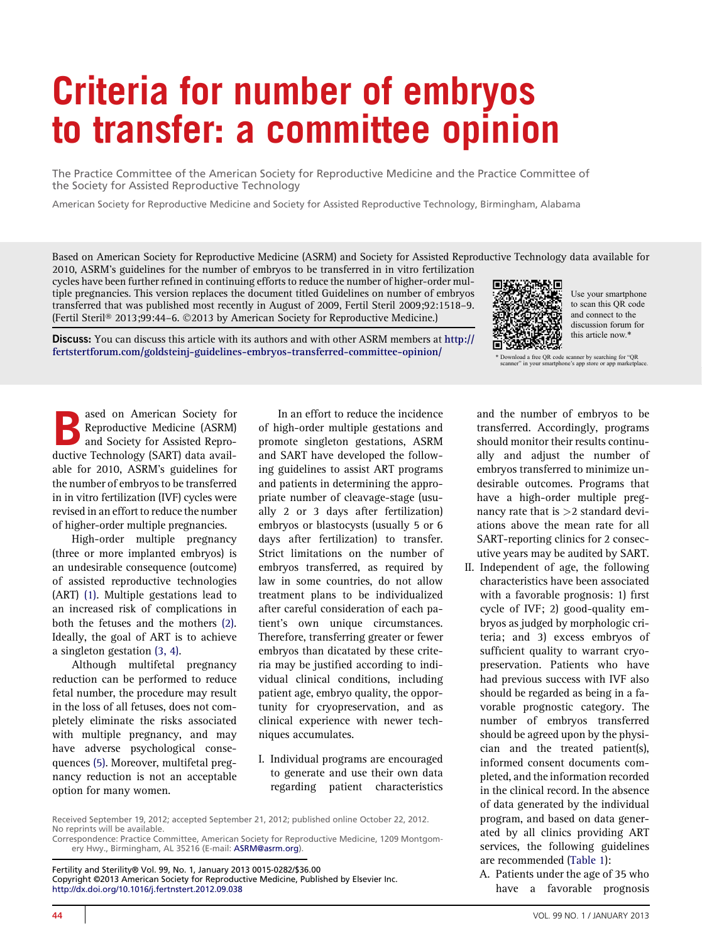## Criteria for number of embryos to transfer: a committee opinion

The Practice Committee of the American Society for Reproductive Medicine and the Practice Committee of the Society for Assisted Reproductive Technology

American Society for Reproductive Medicine and Society for Assisted Reproductive Technology, Birmingham, Alabama

Based on American Society for Reproductive Medicine (ASRM) and Society for Assisted Reproductive Technology data available for 2010, ASRM's guidelines for the number of embryos to be transferred in in vitro fertilization

cycles have been further refined in continuing efforts to reduce the number of higher-order multiple pregnancies. This version replaces the document titled Guidelines on number of embryos transferred that was published most recently in August of 2009, Fertil Steril 2009;92:1518–9. (Fertil Steril<sup>®</sup> 2013;99:44–6. ©2013 by American Society for Reproductive Medicine.)

Discuss: You can discuss this article with its authors and with other ASRM members at [http://](http://fertstertforum.com/goldsteinj-guidelines-embryos-transferred-committee-opinion/) [fertstertforum.com/goldsteinj-guidelines-embryos-transferred-committee-opinion/](http://fertstertforum.com/goldsteinj-guidelines-embryos-transferred-committee-opinion/)



Use your smartphone to scan this QR code and connect to the discussion forum for this article now \*

\* Download a free QR code scanner by searching for "QR scanner" in your smartphone's app store or app marketplace.

ased on American Society for<br>
Reproductive Medicine (ASRM)<br>
and Society for Assisted Repro-Reproductive Medicine (ASRM) ductive Technology (SART) data available for 2010, ASRM's guidelines for the number of embryos to be transferred in in vitro fertilization (IVF) cycles were revised in an effort to reduce the number of higher-order multiple pregnancies.

High-order multiple pregnancy (three or more implanted embryos) is an undesirable consequence (outcome) of assisted reproductive technologies (ART) [\(1\)](#page-1-0). Multiple gestations lead to an increased risk of complications in both the fetuses and the mothers [\(2\)](#page-2-0). Ideally, the goal of ART is to achieve a singleton gestation [\(3, 4\).](#page-2-0)

Although multifetal pregnancy reduction can be performed to reduce fetal number, the procedure may result in the loss of all fetuses, does not completely eliminate the risks associated with multiple pregnancy, and may have adverse psychological consequences [\(5\)](#page-2-0). Moreover, multifetal pregnancy reduction is not an acceptable option for many women.

In an effort to reduce the incidence of high-order multiple gestations and promote singleton gestations, ASRM and SART have developed the following guidelines to assist ART programs and patients in determining the appropriate number of cleavage-stage (usually 2 or 3 days after fertilization) embryos or blastocysts (usually 5 or 6 days after fertilization) to transfer. Strict limitations on the number of embryos transferred, as required by law in some countries, do not allow treatment plans to be individualized after careful consideration of each patient's own unique circumstances. Therefore, transferring greater or fewer embryos than dicatated by these criteria may be justified according to individual clinical conditions, including patient age, embryo quality, the opportunity for cryopreservation, and as clinical experience with newer techniques accumulates.

I. Individual programs are encouraged to generate and use their own data regarding patient characteristics

Received September 19, 2012; accepted September 21, 2012; published online October 22, 2012. No reprints will be available.

Correspondence: Practice Committee, American Society for Reproductive Medicine, 1209 Montgom-ery Hwy., Birmingham, AL 35216 (E-mail: [ASRM@asrm.org](mailto:ASRM@asrm.org)).

Fertility and Sterility® Vol. 99, No. 1, January 2013 0015-0282/\$36.00 Copyright ©2013 American Society for Reproductive Medicine, Published by Elsevier Inc. <http://dx.doi.org/10.1016/j.fertnstert.2012.09.038>

and the number of embryos to be transferred. Accordingly, programs should monitor their results continually and adjust the number of embryos transferred to minimize undesirable outcomes. Programs that have a high-order multiple pregnancy rate that is  $>$ 2 standard deviations above the mean rate for all SART-reporting clinics for 2 consecutive years may be audited by SART.

- II. Independent of age, the following characteristics have been associated with a favorable prognosis: 1) first cycle of IVF; 2) good-quality embryos as judged by morphologic criteria; and 3) excess embryos of sufficient quality to warrant cryopreservation. Patients who have had previous success with IVF also should be regarded as being in a favorable prognostic category. The number of embryos transferred should be agreed upon by the physician and the treated patient(s), informed consent documents completed, and the information recorded in the clinical record. In the absence of data generated by the individual program, and based on data generated by all clinics providing ART services, the following guidelines are recommended [\(Table 1\)](#page-1-0):
	- A. Patients under the age of 35 who have a favorable prognosis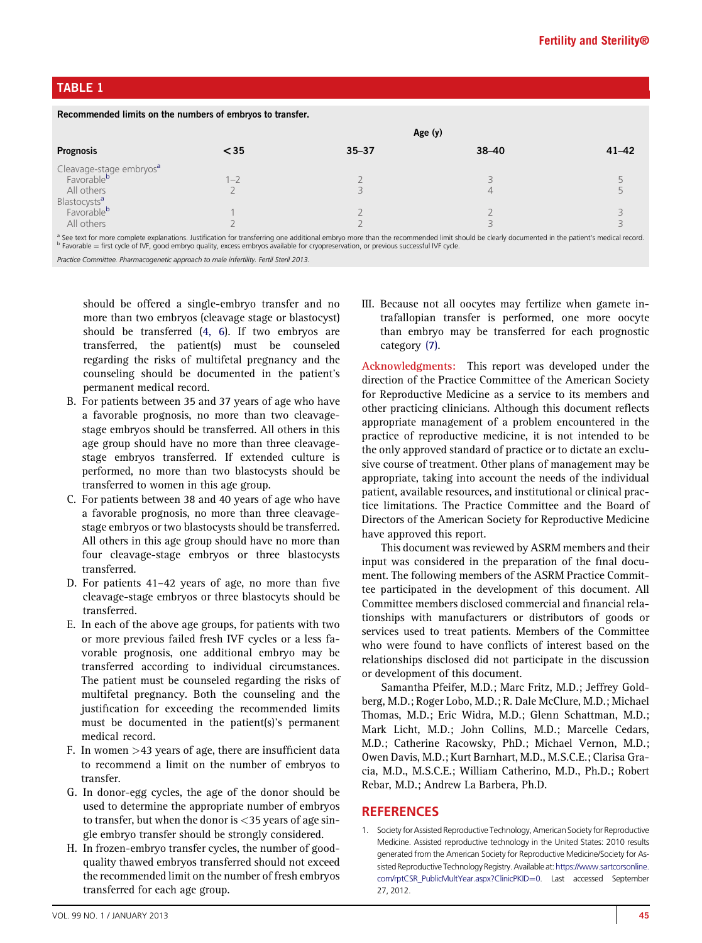## <span id="page-1-0"></span>TABLE 1

Recommended limits on the numbers of embryos to transfer.

| Prognosis                                                                   | Age (y) |           |           |           |
|-----------------------------------------------------------------------------|---------|-----------|-----------|-----------|
|                                                                             | $35$    | $35 - 37$ | $38 - 40$ | $41 - 42$ |
| Cleavage-stage embryos <sup>a</sup><br>Favorable <sup>b</sup><br>All others | $1 - 2$ |           |           |           |
| Blastocysts <sup>a</sup><br>Favorableb<br>All others                        |         |           |           |           |

<sup>a</sup> See text for more complete explanations. Justification for transferring one additional embryo more than the recommended limit should be clearly documented in the patient's medical record.<br><sup>b</sup> Favorable = first cycle of

Practice Committee. Pharmacogenetic approach to male infertility. Fertil Steril 2013.

should be offered a single-embryo transfer and no more than two embryos (cleavage stage or blastocyst) should be transferred [\(4, 6](#page-2-0)). If two embryos are transferred, the patient(s) must be counseled regarding the risks of multifetal pregnancy and the counseling should be documented in the patient's permanent medical record.

- B. For patients between 35 and 37 years of age who have a favorable prognosis, no more than two cleavagestage embryos should be transferred. All others in this age group should have no more than three cleavagestage embryos transferred. If extended culture is performed, no more than two blastocysts should be transferred to women in this age group.
- C. For patients between 38 and 40 years of age who have a favorable prognosis, no more than three cleavagestage embryos or two blastocysts should be transferred. All others in this age group should have no more than four cleavage-stage embryos or three blastocysts transferred.
- D. For patients 41–42 years of age, no more than five cleavage-stage embryos or three blastocyts should be transferred.
- E. In each of the above age groups, for patients with two or more previous failed fresh IVF cycles or a less favorable prognosis, one additional embryo may be transferred according to individual circumstances. The patient must be counseled regarding the risks of multifetal pregnancy. Both the counseling and the justification for exceeding the recommended limits must be documented in the patient(s)'s permanent medical record.
- F. In women >43 years of age, there are insufficient data to recommend a limit on the number of embryos to transfer.
- G. In donor-egg cycles, the age of the donor should be used to determine the appropriate number of embryos to transfer, but when the donor is  $<$  35 years of age single embryo transfer should be strongly considered.
- H. In frozen-embryo transfer cycles, the number of goodquality thawed embryos transferred should not exceed the recommended limit on the number of fresh embryos transferred for each age group.

III. Because not all oocytes may fertilize when gamete intrafallopian transfer is performed, one more oocyte than embryo may be transferred for each prognostic category [\(7\)](#page-2-0).

Acknowledgments: This report was developed under the direction of the Practice Committee of the American Society for Reproductive Medicine as a service to its members and other practicing clinicians. Although this document reflects appropriate management of a problem encountered in the practice of reproductive medicine, it is not intended to be the only approved standard of practice or to dictate an exclusive course of treatment. Other plans of management may be appropriate, taking into account the needs of the individual patient, available resources, and institutional or clinical practice limitations. The Practice Committee and the Board of Directors of the American Society for Reproductive Medicine have approved this report.

This document was reviewed by ASRM members and their input was considered in the preparation of the final document. The following members of the ASRM Practice Committee participated in the development of this document. All Committee members disclosed commercial and financial relationships with manufacturers or distributors of goods or services used to treat patients. Members of the Committee who were found to have conflicts of interest based on the relationships disclosed did not participate in the discussion or development of this document.

Samantha Pfeifer, M.D.; Marc Fritz, M.D.; Jeffrey Goldberg, M.D.; Roger Lobo, M.D.; R. Dale McClure, M.D.; Michael Thomas, M.D.; Eric Widra, M.D.; Glenn Schattman, M.D.; Mark Licht, M.D.; John Collins, M.D.; Marcelle Cedars, M.D.; Catherine Racowsky, PhD.; Michael Vernon, M.D.; Owen Davis, M.D.; Kurt Barnhart, M.D., M.S.C.E.; Clarisa Gracia, M.D., M.S.C.E.; William Catherino, M.D., Ph.D.; Robert Rebar, M.D.; Andrew La Barbera, Ph.D.

## **REFERENCES**

1. Society for Assisted Reproductive Technology, American Society for Reproductive Medicine. Assisted reproductive technology in the United States: 2010 results generated from the American Society for Reproductive Medicine/Society for Assisted Reproductive Technology Registry. Available at: [https://www.sartcorsonline.](https://www.sartcorsonline.com/rptCSR_PublicMultYear.aspx%3fClinicPKID%3d0) [com/rptCSR\\_PublicMultYear.aspx?ClinicPKID](https://www.sartcorsonline.com/rptCSR_PublicMultYear.aspx%3fClinicPKID%3d0)=[0](https://www.sartcorsonline.com/rptCSR_PublicMultYear.aspx%3fClinicPKID%3d0). Last accessed September 27, 2012.